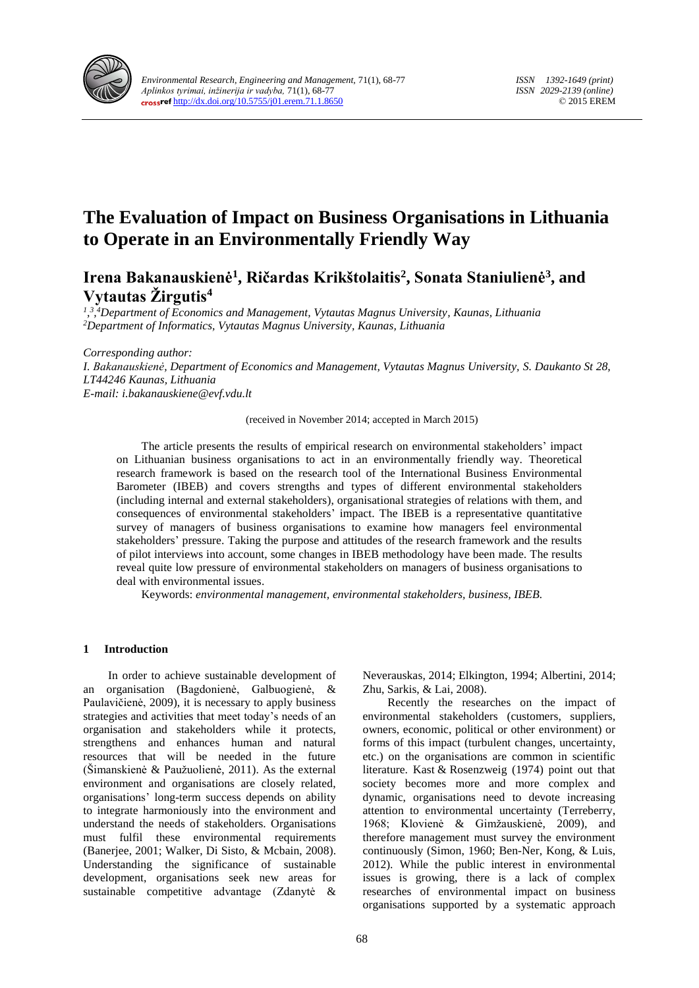

# **The Evaluation of Impact on Business Organisations in Lithuania to Operate in an Environmentally Friendly Way**

**Irena Bakanauskienė<sup>1</sup> , Ričardas Krikštolaitis<sup>2</sup> , Sonata Staniulienė<sup>3</sup> , and Vytautas Žirgutis<sup>4</sup>**

*1 , 3 , <sup>4</sup>Department of Economics and Management, Vytautas Magnus University, Kaunas, Lithuania <sup>2</sup>Department of Informatics, Vytautas Magnus University, Kaunas, Lithuania*

*Corresponding author: I. Bakanauskienė, Department of Economics and Management, Vytautas Magnus University, S. Daukanto St 28, LT44246 Kaunas, Lithuania E-mail: i.bakanauskiene@evf.vdu.lt*

(received in November 2014; accepted in March 2015)

The article presents the results of empirical research on environmental stakeholders' impact on Lithuanian business organisations to act in an environmentally friendly way. Theoretical research framework is based on the research tool of the International Business Environmental Barometer (IBEB) and covers strengths and types of different environmental stakeholders (including internal and external stakeholders), organisational strategies of relations with them, and consequences of environmental stakeholders' impact. The IBEB is a representative quantitative survey of managers of business organisations to examine how managers feel environmental stakeholders' pressure. Taking the purpose and attitudes of the research framework and the results of pilot interviews into account, some changes in IBEB methodology have been made. The results reveal quite low pressure of environmental stakeholders on managers of business organisations to deal with environmental issues.

Keywords: *environmental management, environmental stakeholders, business, IBEB.*

### **1 Introduction**

In order to achieve sustainable development of an organisation (Bagdonienė, Galbuogienė, & Paulavičienė, 2009), it is necessary to apply business strategies and activities that meet today's needs of an organisation and stakeholders while it protects, strengthens and enhances human and natural resources that will be needed in the future (Šimanskienė & Paužuolienė, 2011). As the external environment and organisations are closely related, organisations' long-term success depends on ability to integrate harmoniously into the environment and understand the needs of stakeholders. Organisations must fulfil these environmental requirements (Banerjee, 2001; Walker, Di Sisto, & Mcbain, 2008). Understanding the significance of sustainable development, organisations seek new areas for sustainable competitive advantage (Zdanytė & Neverauskas, 2014; Elkington, 1994; Albertini, 2014; Zhu, Sarkis, & Lai, 2008).

Recently the researches on the impact of environmental stakeholders (customers, suppliers, owners, economic, political or other environment) or forms of this impact (turbulent changes, uncertainty, etc.) on the organisations are common in scientific literature. Kast & Rosenzweig (1974) point out that society becomes more and more complex and dynamic, organisations need to devote increasing attention to environmental uncertainty (Terreberry, 1968; Klovienė & Gimžauskienė, 2009), and therefore management must survey the environment continuously (Simon, 1960; Ben-Ner, Kong, & Luis, 2012). While the public interest in environmental issues is growing, there is a lack of complex researches of environmental impact on business organisations supported by a systematic approach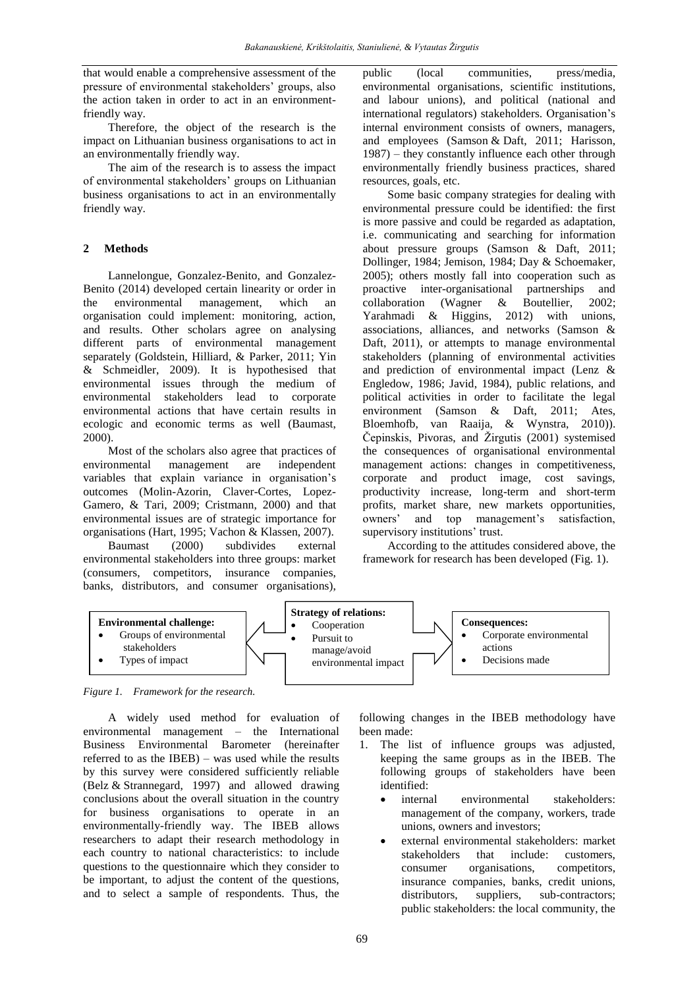that would enable a comprehensive assessment of the pressure of environmental stakeholders' groups, also the action taken in order to act in an environmentfriendly way.

Therefore, the object of the research is the impact on Lithuanian business organisations to act in an environmentally friendly way.

The aim of the research is to assess the impact of environmental stakeholders' groups on Lithuanian business organisations to act in an environmentally friendly way.

#### **2 Methods**

Lannelongue, Gonzalez-Benito, and Gonzalez-Benito (2014) developed certain linearity or order in the environmental management, which an organisation could implement: monitoring, action, and results. Other scholars agree on analysing different parts of environmental management separately (Goldstein, Hilliard, & Parker, 2011; Yin & Schmeidler, 2009). It is hypothesised that environmental issues through the medium of environmental stakeholders lead to corporate environmental actions that have certain results in ecologic and economic terms as well (Baumast, 2000).

Most of the scholars also agree that practices of environmental management are independent variables that explain variance in organisation's outcomes (Molin-Azorin, Claver-Cortes, Lopez-Gamero, & Tari, 2009; Cristmann, 2000) and that environmental issues are of strategic importance for organisations (Hart, 1995; Vachon & Klassen, 2007). Baumast (2000) subdivides external

environmental stakeholders into three groups: market (consumers, competitors, insurance companies, banks, distributors, and consumer organisations),

public (local communities, press/media, environmental organisations, scientific institutions, and labour unions), and political (national and international regulators) stakeholders. Organisation's internal environment consists of owners, managers, and employees (Samson & Daft, 2011; Harisson, 1987) – they constantly influence each other through environmentally friendly business practices, shared resources, goals, etc.

Some basic company strategies for dealing with environmental pressure could be identified: the first is more passive and could be regarded as adaptation, i.e. communicating and searching for information about pressure groups (Samson & Daft, 2011; Dollinger, 1984; Jemison, 1984; Day & Schoemaker, 2005); others mostly fall into cooperation such as proactive inter-organisational partnerships and collaboration (Wagner & Boutellier, 2002; Yarahmadi & Higgins, 2012) with unions, associations, alliances, and networks (Samson & Daft, 2011), or attempts to manage environmental stakeholders (planning of environmental activities and prediction of environmental impact (Lenz & Engledow, 1986; Javid, 1984), public relations, and political activities in order to facilitate the legal environment (Samson & Daft, 2011; Ates, Bloemhofb, van Raaija, & Wynstra, 2010)). Čepinskis, Pivoras, and [Žirgutis](http://www.lvb.lt/primo_library/libweb/action/search.do;jsessionid=78F63D5CDE9AFAF32955B6D672B317B7?vl(freeText0)=+%c5%bdirgutis%2c+Vytautas&vl(65583562UI0)=creator&vl(113832101UI1)=all_items&vl(1UIStartWith0)=exact&fn=search&tab=default_tab&mode=Basic&vid=KTU&scp.scps=scope%3a(KTU01)%2cscope%3a(KPI01)%2cscope%3a(KTU02)%2cscope%3a(LIDA)%2cscope%3a(OCL02)%2cscope%3a(OCL01)%2cscope%3a(ETDKTU)) (2001) systemised the consequences of organisational environmental management actions: changes in competitiveness, corporate and product image, cost savings, productivity increase, long-term and short-term profits, market share, new markets opportunities, owners' and top management's satisfaction, supervisory institutions' trust.

According to the attitudes considered above, the framework for research has been developed (Fig. 1).



*Figure 1. Framework for the research.*

A widely used method for evaluation of environmental management – the International Business Environmental Barometer (hereinafter referred to as the IBEB) – was used while the results by this survey were considered sufficiently reliable (Belz & Strannegard, 1997) and allowed drawing conclusions about the overall situation in the country for business organisations to operate in an environmentally-friendly way. The IBEB allows researchers to adapt their research methodology in each country to national characteristics: to include questions to the questionnaire which they consider to be important, to adjust the content of the questions, and to select a sample of respondents. Thus, the following changes in the IBEB methodology have been made:

- 1. The list of influence groups was adjusted, keeping the same groups as in the IBEB. The following groups of stakeholders have been identified:
	- internal environmental stakeholders: management of the company, workers, trade unions, owners and investors;
	- external environmental stakeholders: market stakeholders that include: customers, consumer organisations, competitors, insurance companies, banks, credit unions, distributors, suppliers, sub-contractors; public stakeholders: the local community, the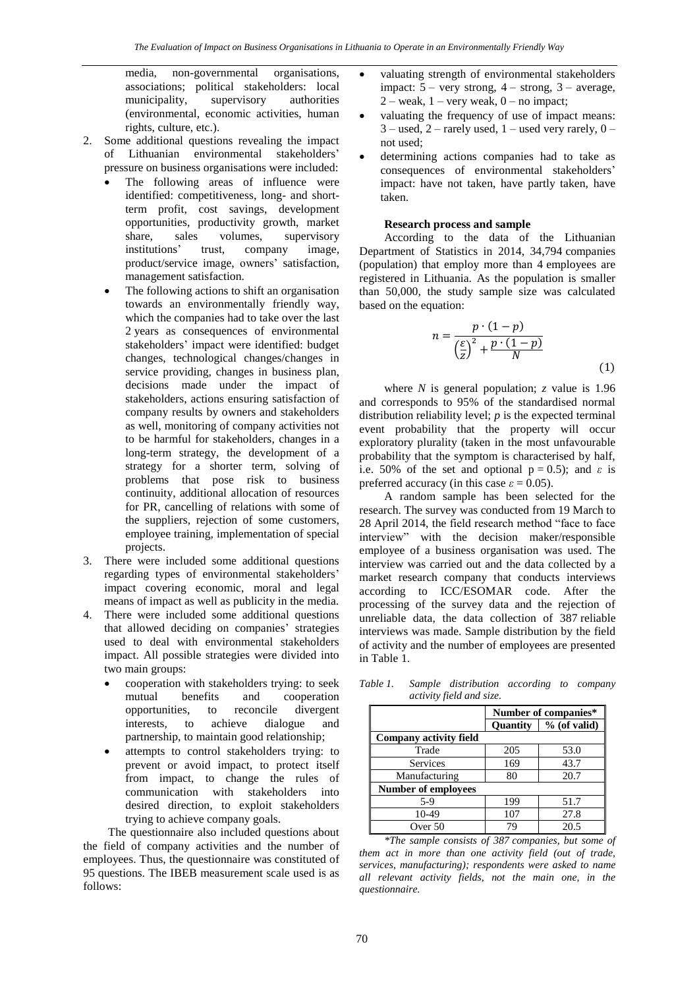media, non-governmental organisations, associations; political stakeholders: local municipality, supervisory authorities (environmental, economic activities, human rights, culture, etc.).

- 2. Some additional questions revealing the impact of Lithuanian environmental stakeholders' pressure on business organisations were included:
	- The following areas of influence were identified: competitiveness, long- and shortterm profit, cost savings, development opportunities, productivity growth, market share, sales volumes, supervisory institutions' trust, company image, product/service image, owners' satisfaction, management satisfaction.
	- The following actions to shift an organisation towards an environmentally friendly way, which the companies had to take over the last 2 years as consequences of environmental stakeholders' impact were identified: budget changes, technological changes/changes in service providing, changes in business plan, decisions made under the impact of stakeholders, actions ensuring satisfaction of company results by owners and stakeholders as well, monitoring of company activities not to be harmful for stakeholders, changes in a long-term strategy, the development of a strategy for a shorter term, solving of problems that pose risk to business continuity, additional allocation of resources for PR, cancelling of relations with some of the suppliers, rejection of some customers, employee training, implementation of special projects.
- 3. There were included some additional questions regarding types of environmental stakeholders' impact covering economic, moral and legal means of impact as well as publicity in the media.
- 4. There were included some additional questions that allowed deciding on companies' strategies used to deal with environmental stakeholders impact. All possible strategies were divided into two main groups:
	- cooperation with stakeholders trying: to seek mutual benefits and cooperation opportunities, to reconcile divergent interests, to achieve dialogue and partnership, to maintain good relationship;
	- attempts to control stakeholders trying: to prevent or avoid impact, to protect itself from impact, to change the rules of communication with stakeholders into desired direction, to exploit stakeholders trying to achieve company goals.

The questionnaire also included questions about the field of company activities and the number of employees. Thus, the questionnaire was constituted of 95 questions. The IBEB measurement scale used is as follows:

- valuating strength of environmental stakeholders impact:  $5 -$  very strong,  $4 -$  strong,  $3 -$  average,  $2 -$  weak,  $1 -$  very weak,  $0 -$  no impact;
- valuating the frequency of use of impact means:  $3$  – used,  $2$  – rarely used,  $1$  – used very rarely,  $0$  – not used;
- determining actions companies had to take as consequences of environmental stakeholders' impact: have not taken, have partly taken, have taken.

#### **Research process and sample**

According to the data of the Lithuanian Department of Statistics in 2014, 34,794 companies (population) that employ more than 4 employees are registered in Lithuania. As the population is smaller than 50,000, the study sample size was calculated based on the equation:

$$
n = \frac{p \cdot (1-p)}{\left(\frac{\varepsilon}{z}\right)^2 + \frac{p \cdot (1-p)}{N}}
$$
\n(1)

where *N* is general population; *z* value is 1.96 and corresponds to 95% of the standardised normal distribution reliability level; *p* is the expected terminal event probability that the property will occur exploratory plurality (taken in the most unfavourable probability that the symptom is characterised by half, i.e. 50% of the set and optional  $p = 0.5$ ; and  $\varepsilon$  is preferred accuracy (in this case  $\varepsilon = 0.05$ ).

A random sample has been selected for the research. The survey was conducted from 19 March to 28 April 2014, the field research method "face to face interview" with the decision maker/responsible employee of a business organisation was used. The interview was carried out and the data collected by a market research company that conducts interviews according to ICC/ESOMAR code. After the processing of the survey data and the rejection of unreliable data, the data collection of 387 reliable interviews was made. Sample distribution by the field of activity and the number of employees are presented in Table 1.

*Table 1. Sample distribution according to company activity field and size.*

|                            |                 | Number of companies* |  |  |  |  |  |  |  |  |
|----------------------------|-----------------|----------------------|--|--|--|--|--|--|--|--|
|                            | <b>Ouantity</b> | $%$ (of valid)       |  |  |  |  |  |  |  |  |
| Company activity field     |                 |                      |  |  |  |  |  |  |  |  |
| Trade                      | 205             | 53.0                 |  |  |  |  |  |  |  |  |
| <b>Services</b>            | 169             | 43.7                 |  |  |  |  |  |  |  |  |
| Manufacturing              | 80              | 20.7                 |  |  |  |  |  |  |  |  |
| <b>Number of employees</b> |                 |                      |  |  |  |  |  |  |  |  |
| $5-9$                      | 199             | 51.7                 |  |  |  |  |  |  |  |  |
| 10-49                      | 107             | 27.8                 |  |  |  |  |  |  |  |  |
| Over 50                    | 79              | 20.5                 |  |  |  |  |  |  |  |  |

*\*The sample consists of 387 companies, but some of them act in more than one activity field (out of trade, services, manufacturing); respondents were asked to name all relevant activity fields, not the main one, in the questionnaire.*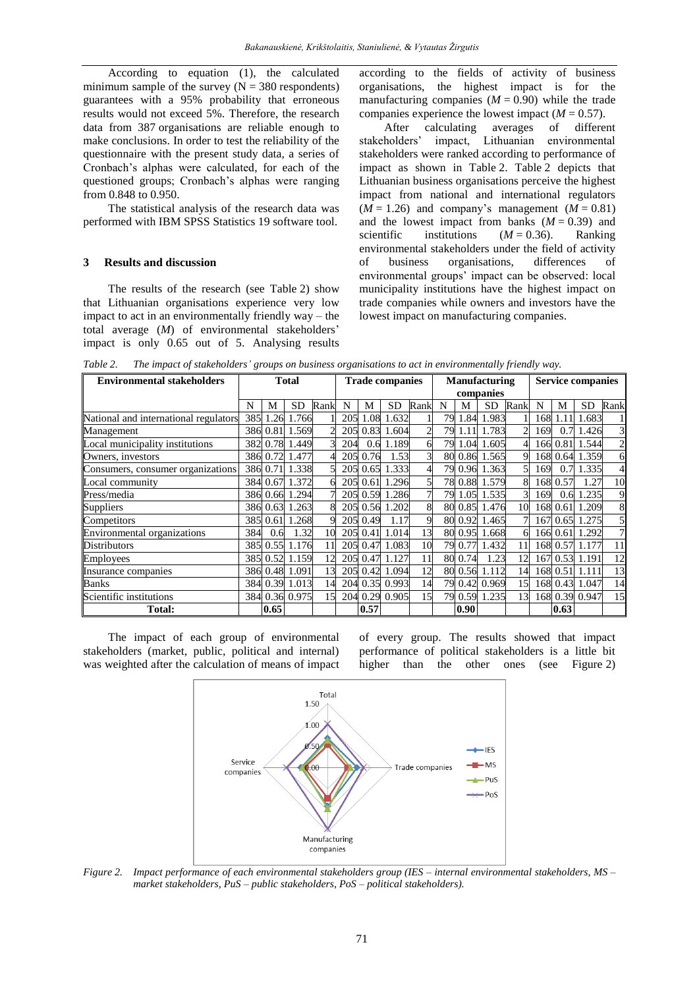According to equation (1), the calculated minimum sample of the survey  $(N = 380$  respondents) guarantees with a 95% probability that erroneous results would not exceed 5%. Therefore, the research data from 387 organisations are reliable enough to make conclusions. In order to test the reliability of the questionnaire with the present study data, a series of Cronbach's alphas were calculated, for each of the questioned groups; Cronbach's alphas were ranging from 0.848 to 0.950.

The statistical analysis of the research data was performed with IBM SPSS Statistics 19 software tool.

#### **3 Results and discussion**

The results of the research (see Table 2) show that Lithuanian organisations experience very low impact to act in an environmentally friendly way – the total average (*M*) of environmental stakeholders' impact is only 0.65 out of 5. Analysing results according to the fields of activity of business organisations, the highest impact is for the manufacturing companies  $(M = 0.90)$  while the trade companies experience the lowest impact  $(M = 0.57)$ .

After calculating averages of different stakeholders' impact, Lithuanian environmental stakeholders were ranked according to performance of impact as shown in Table 2. Table 2 depicts that Lithuanian business organisations perceive the highest impact from national and international regulators  $(M = 1.26)$  and company's management  $(M = 0.81)$ and the lowest impact from banks  $(M = 0.39)$  and scientific institutions  $(M = 0.36)$ . Ranking environmental stakeholders under the field of activity of business organisations, differences of environmental groups' impact can be observed: local municipality institutions have the highest impact on trade companies while owners and investors have the lowest impact on manufacturing companies.

*Table 2. The impact of stakeholders' groups on business organisations to act in environmentally friendly way.*

| <b>Environmental stakeholders</b>     | <b>Total</b> |          |                | <b>Trade companies</b> |     |          | <b>Manufacturing</b> |      |    |         | <b>Service companies</b> |      |     |          |                |                |
|---------------------------------------|--------------|----------|----------------|------------------------|-----|----------|----------------------|------|----|---------|--------------------------|------|-----|----------|----------------|----------------|
|                                       |              |          |                |                        |     |          | companies            |      |    |         |                          |      |     |          |                |                |
|                                       | N            | М        | <b>SD</b>      | Rank                   | N   | M        | <b>SD</b>            | Rank | N  | M       | SD.                      | Rank | N   | М        | SD             | Rank           |
| National and international regulators |              | 385 1.26 | 1.766          |                        |     | 205 1.08 | 1.632                |      | 79 | 1.84    | 1.983                    |      | 168 | 1.11     | 1.683          |                |
| Management                            |              |          | 386 0.81 1.569 |                        |     |          | 205 0.83 1.604       |      | 79 | 1.11    | 1.783                    |      | 169 | 0.7      | 1.426          | 3              |
| Local municipality institutions       |              |          | 382 0.78 1.449 |                        | 204 | 0.6      | 1.189                |      | 79 | 1.04    | 1.605                    |      | 166 | 0.81     | 1.544          | $\overline{c}$ |
| Owners, investors                     |              | 386 0.72 | 1.477          |                        |     | 205 0.76 | 1.53                 |      | 80 |         | 0.86 1.565               |      | 168 | 0.64     | 1.359          | 6              |
| Consumers, consumer organizations     |              | 386 0.71 | 1.338          |                        |     | 205 0.65 | 1.333                |      | 79 |         | 0.96 1.363               |      | 169 | 0.7      | 1.335          | $\overline{4}$ |
| Local community                       |              |          | 384 0.67 1.372 |                        |     | 205 0.61 | 1.296                |      |    |         | 78 0.88 1.579            | 8    | 168 | 0.57     | 1.27           | 10             |
| Press/media                           |              |          | 386 0.66 1.294 |                        |     |          | 205 0.59 1.286       |      |    |         | 79 1.05 1.535            | 31   | 169 | 0.6      | 1.235          | 9              |
| <b>Suppliers</b>                      |              |          | 386 0.63 1.263 | 8                      |     |          | 205 0.56 1.202       |      |    |         | 80 0.85 1.476            | 10   | 168 | 0.61     | 1.209          | 8              |
| Competitors                           |              |          | 385 0.61 1.268 | Q                      |     | 205 0.49 | 1.17                 |      |    | 80 0.92 | 1.465                    |      | 167 | 0.65     | 1.275          | $\mathfrak{h}$ |
| Environmental organizations           | 384          | 0.6      | 1.32           | 10                     |     | 205 0.41 | 1.014                | 13   |    | 80 0.95 | 1.668                    | 61   |     | 166 0.61 | 1.292          | $\overline{7}$ |
| <b>Distributors</b>                   |              |          | 385 0.55 1.176 |                        |     |          | 205 0.47 1.083       | 10   |    | 79 0.77 | 1.432                    | 11   | 168 |          | 0.57 1.177     | 11             |
| <b>Employees</b>                      |              |          | 385 0.52 1.159 | 12                     |     |          | 205 0.47 1.127       |      |    | 80 0.74 | 1.23                     | 12   | 167 | 0.53     | 1.191          | 12             |
| Insurance companies                   |              |          | 386 0.48 1.091 | 13                     |     |          | 205 0.42 1.094       | 12   |    | 80 0.56 | 1.112                    | 14   | 168 | 0.51     | 1.111          | 13             |
| <b>Banks</b>                          |              |          | 384 0.39 1.013 | 14                     |     |          | 204 0.35 0.993       | 14   | 79 |         | 0.42 0.969               | 15   |     |          | 168 0.43 1.047 | 14             |
| Scientific institutions               |              |          | 384 0.36 0.975 | 15                     |     |          | 204 0.29 0.905       | 15   |    |         | 79 0.59 1.235            | 13   |     |          | 168 0.39 0.947 | 15             |
| Total:                                |              | 0.65     |                |                        |     | 0.57     |                      |      |    | 0.90    |                          |      |     | 0.63     |                |                |

The impact of each group of environmental stakeholders (market, public, political and internal) was weighted after the calculation of means of impact of every group. The results showed that impact performance of political stakeholders is a little bit higher than the other ones (see Figure 2)



*Figure 2. Impact performance of each environmental stakeholders group (IES – internal environmental stakeholders, MS – market stakeholders, PuS – public stakeholders, PoS – political stakeholders).*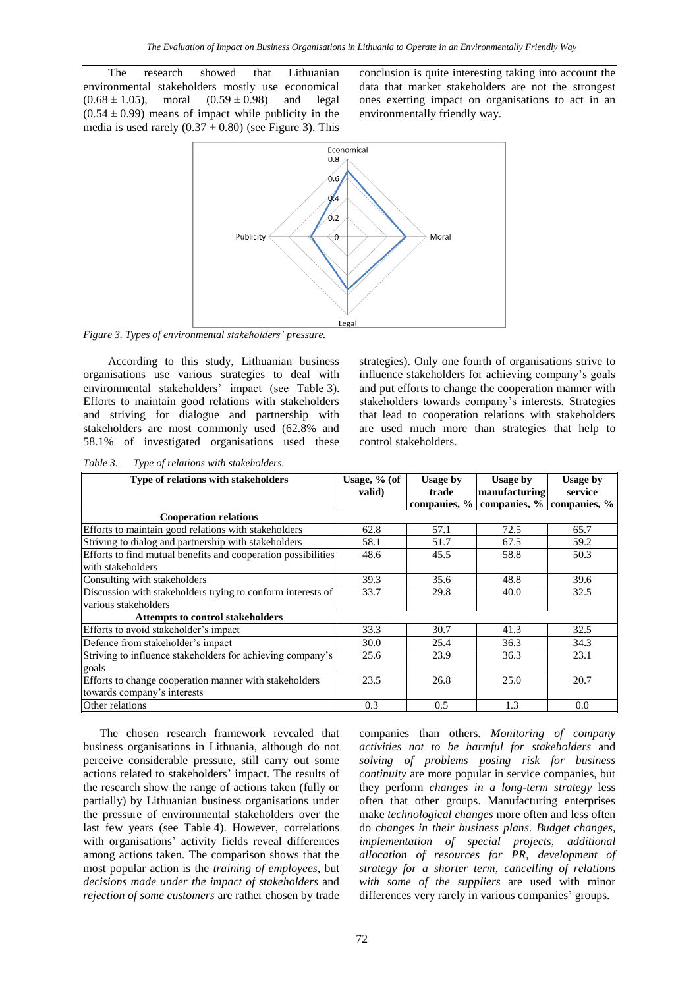The research showed that Lithuanian environmental stakeholders mostly use economical  $(0.68 \pm 1.05)$ , moral  $(0.59 \pm 0.98)$  and legal  $(0.54 \pm 0.99)$  means of impact while publicity in the media is used rarely  $(0.37 \pm 0.80)$  (see Figure 3). This conclusion is quite interesting taking into account the data that market stakeholders are not the strongest ones exerting impact on organisations to act in an environmentally friendly way.



*Figure 3. Types of environmental stakeholders' pressure.*

According to this study, Lithuanian business organisations use various strategies to deal with environmental stakeholders' impact (see Table 3). Efforts to maintain good relations with stakeholders and striving for dialogue and partnership with stakeholders are most commonly used (62.8% and 58.1% of investigated organisations used these

strategies). Only one fourth of organisations strive to influence stakeholders for achieving company's goals and put efforts to change the cooperation manner with stakeholders towards company's interests. Strategies that lead to cooperation relations with stakeholders are used much more than strategies that help to control stakeholders.

| Type of relations with stakeholders                           | Usage, $%$ (of | <b>Usage by</b> | <b>Usage by</b>           | <b>Usage by</b> |
|---------------------------------------------------------------|----------------|-----------------|---------------------------|-----------------|
|                                                               | valid)         | trade           | manufacturing             | service         |
|                                                               |                | companies, %    | companies, % companies, % |                 |
| <b>Cooperation relations</b>                                  |                |                 |                           |                 |
| Efforts to maintain good relations with stakeholders          | 62.8           | 57.1            | 72.5                      | 65.7            |
| Striving to dialog and partnership with stakeholders          | 58.1           | 51.7            | 67.5                      | 59.2            |
| Efforts to find mutual benefits and cooperation possibilities | 48.6           | 45.5            | 58.8                      | 50.3            |
| with stakeholders                                             |                |                 |                           |                 |
| Consulting with stakeholders                                  | 39.3           | 35.6            | 48.8                      | 39.6            |
| Discussion with stakeholders trying to conform interests of   | 33.7           | 29.8            | 40.0                      | 32.5            |
| various stakeholders                                          |                |                 |                           |                 |
| <b>Attempts to control stakeholders</b>                       |                |                 |                           |                 |
| Efforts to avoid stakeholder's impact                         | 33.3           | 30.7            | 41.3                      | 32.5            |
| Defence from stakeholder's impact                             | 30.0           | 25.4            | 36.3                      | 34.3            |
| Striving to influence stakeholders for achieving company's    | 25.6           | 23.9            | 36.3                      | 23.1            |
| goals                                                         |                |                 |                           |                 |
| Efforts to change cooperation manner with stakeholders        | 23.5           | 26.8            | 25.0                      | 20.7            |
| towards company's interests                                   |                |                 |                           |                 |
| Other relations                                               | 0.3            | 0.5             | 1.3                       | 0.0             |

*Table 3. Type of relations with stakeholders.*

The chosen research framework revealed that business organisations in Lithuania, although do not perceive considerable pressure, still carry out some actions related to stakeholders' impact. The results of the research show the range of actions taken (fully or partially) by Lithuanian business organisations under the pressure of environmental stakeholders over the last few years (see Table 4). However, correlations with organisations' activity fields reveal differences among actions taken. The comparison shows that the most popular action is the *training of employees*, but *decisions made under the impact of stakeholders* and *rejection of some customers* are rather chosen by trade

companies than others. *Monitoring of company activities not to be harmful for stakeholders* and *solving of problems posing risk for business continuity* are more popular in service companies, but they perform *changes in a long-term strategy* less often that other groups. Manufacturing enterprises make *technological changes* more often and less often do *changes in their business plans*. *Budget changes*, *implementation of special projects*, *additional allocation of resources for PR*, *development of strategy for a shorter term*, *cancelling of relations with some of the suppliers* are used with minor differences very rarely in various companies' groups.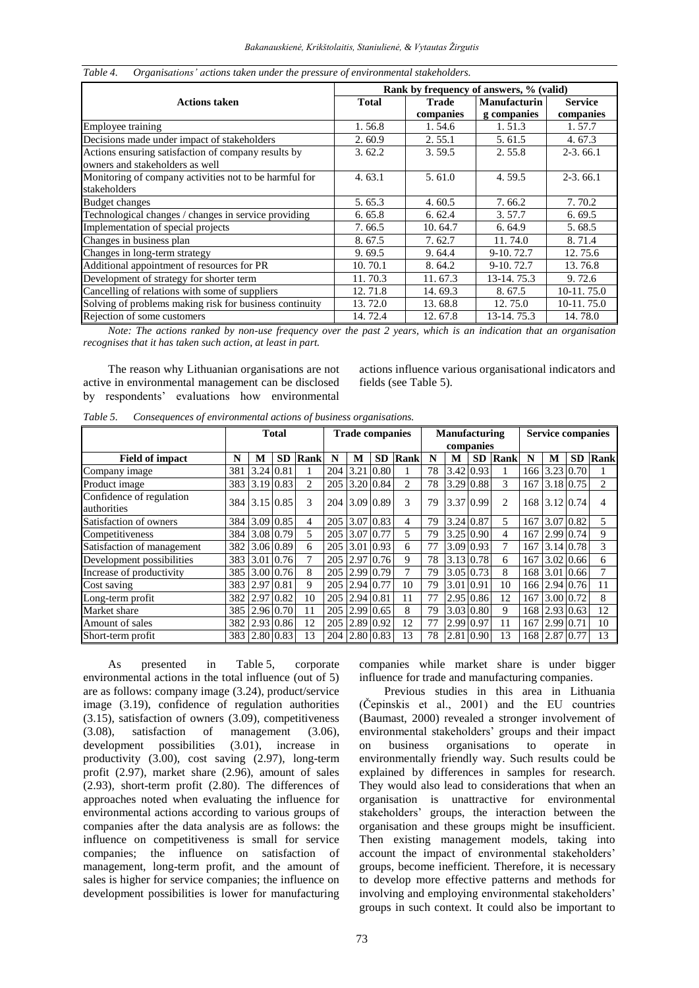|                                                         | Rank by frequency of answers, % (valid) |              |                     |                |  |  |  |  |  |  |
|---------------------------------------------------------|-----------------------------------------|--------------|---------------------|----------------|--|--|--|--|--|--|
| <b>Actions taken</b>                                    | <b>Total</b>                            | <b>Trade</b> | <b>Manufacturin</b> | <b>Service</b> |  |  |  |  |  |  |
|                                                         |                                         | companies    | g companies         | companies      |  |  |  |  |  |  |
| Employee training                                       | 1.56.8                                  | 1.54.6       | 1.51.3              | 1.57.7         |  |  |  |  |  |  |
| Decisions made under impact of stakeholders             | 2.60.9                                  | 2.55.1       | 5.61.5              | 4.67.3         |  |  |  |  |  |  |
| Actions ensuring satisfaction of company results by     | 3.62.2                                  | 3.59.5       | 2.55.8              | $2-3.66.1$     |  |  |  |  |  |  |
| owners and stakeholders as well                         |                                         |              |                     |                |  |  |  |  |  |  |
| Monitoring of company activities not to be harmful for  | 4.63.1                                  | 5.61.0       | 4.59.5              | $2-3.66.1$     |  |  |  |  |  |  |
| stakeholders                                            |                                         |              |                     |                |  |  |  |  |  |  |
| <b>Budget changes</b>                                   | 5.65.3                                  | 4.60.5       | 7.66.2              | 7.70.2         |  |  |  |  |  |  |
| Technological changes / changes in service providing    | 6.65.8                                  | 6.62.4       | 3.57.7              | 6.69.5         |  |  |  |  |  |  |
| Implementation of special projects                      | 7.66.5                                  | 10.64.7      | 6.64.9              | 5.68.5         |  |  |  |  |  |  |
| Changes in business plan                                | 8.67.5                                  | 7.62.7       | 11.74.0             | 8.71.4         |  |  |  |  |  |  |
| Changes in long-term strategy                           | 9.69.5                                  | 9.64.4       | 9-10.72.7           | 12.75.6        |  |  |  |  |  |  |
| Additional appointment of resources for PR              | 10.70.1                                 | 8.64.2       | 9-10.72.7           | 13.76.8        |  |  |  |  |  |  |
| Development of strategy for shorter term                | 11.70.3                                 | 11.67.3      | 13-14.75.3          | 9.72.6         |  |  |  |  |  |  |
| Cancelling of relations with some of suppliers          | 12.71.8                                 | 14.69.3      | 8.67.5              | 10-11.75.0     |  |  |  |  |  |  |
| Solving of problems making risk for business continuity | 13.72.0                                 | 13.68.8      | 12.75.0             | 10-11.75.0     |  |  |  |  |  |  |
| Rejection of some customers                             | 14.72.4                                 | 12.67.8      | 13-14.75.3          | 14.78.0        |  |  |  |  |  |  |

*Table 4. Organisations' actions taken under the pressure of environmental stakeholders.*

*Note: The actions ranked by non-use frequency over the past 2 years, which is an indication that an organisation recognises that it has taken such action, at least in part.*

The reason why Lithuanian organisations are not active in environmental management can be disclosed by respondents' evaluations how environmental

actions influence various organisational indicators and fields (see Table 5).

*Table 5. Consequences of environmental actions of business organisations.*

|                                         | <b>Total</b> |                  |           | <b>Trade companies</b> |     |           | Manufacturing |                |    |                     | <b>Service companies</b> |             |     |                  |           |      |
|-----------------------------------------|--------------|------------------|-----------|------------------------|-----|-----------|---------------|----------------|----|---------------------|--------------------------|-------------|-----|------------------|-----------|------|
|                                         |              |                  |           |                        |     |           |               | companies      |    |                     |                          |             |     |                  |           |      |
| <b>Field of impact</b>                  | N            | M                | <b>SD</b> | Rank                   | N   | М         | <b>SD</b>     | <b>Rank</b>    | N  | M                   | <b>SD</b>                | <b>Rank</b> | N   | M                | <b>SD</b> | Rank |
| Company image                           | 381          | $3.24 \mid 0.81$ |           |                        | 204 | 3.21      | 0.80          |                | 78 | $3.42 \, 0.93$      |                          |             | 166 | $3.23 \mid 0.70$ |           |      |
| Product image                           | 383          | $3.19 \, 0.83$   |           | 2                      | 205 |           | 3.20 0.84     | $\overline{c}$ | 78 | 3.29 0.88           |                          | 3           | 167 | 3.18 0.75        |           | 2    |
| Confidence of regulation<br>authorities |              | 384 3.15 0.85    |           | 3                      | 204 |           | 3.09 0.89     | 3              | 79 | 3.37 0.99           |                          | 2           | 168 | $3.12 \, 0.74$   |           | 4    |
| Satisfaction of owners                  | 384          | 3.09 0.85        |           | 4                      | 205 | 3.07 0.83 |               | 4              | 79 | 3.24 0.87           |                          | 5           | 167 | 3.07 0.82        |           | 5    |
| Competitiveness                         | 384          | 3.08 0.79        |           | 5                      | 205 | 3.07      | 0.77          | 5              | 79 | $3.25 \, 0.90$      |                          | 4           | 167 | 2.99 0.74        |           | 9    |
| Satisfaction of management              | 382          | 3.06 0.89        |           | 6                      | 205 | 3.01      | 0.93          | 6              | 77 | $3.09 \mid 0.93$    |                          | 7           | 167 | 3.14 0.78        |           | 3    |
| Development possibilities               | 383          | 3.01             | 0.76      | 7                      | 205 | 2.97      | 0.76          | 9              | 78 | 3.13 0.78           |                          | 6           | 167 | $3.02 \, 0.66$   |           | 6    |
| Increase of productivity                | 385          | $3.00\,0.76$     |           | 8                      | 205 |           | 2.99 0.79     | 7              | 79 | $3.05 \,   \, 0.73$ |                          | 8           | 168 | 3.01 0.66        |           |      |
| Cost saving                             | 383          | 2.97             | 0.81      | 9                      | 205 | 2.94 0.77 |               | 10             | 79 | 3.01 0.91           |                          | 10          | 166 | 2.94 0.76        |           | 11   |
| Long-term profit                        | 382          | 2.97             | 0.82      | 10                     | 205 | 2.94 0.81 |               | 11             | 77 | 2.95 0.86           |                          | 12          | 167 | 3.00 0.72        |           | 8    |
| Market share                            | 385          | 2.96 0.70        |           | 11                     | 205 |           | 2.99 0.65     | 8              | 79 | 3.03 0.80           |                          | 9           | 168 | $2.93 \, 0.63$   |           | 12   |
| Amount of sales                         | 382          | 2.93 0.86        |           | 12                     | 205 |           | 2.89 0.92     | 12             | 77 | 2.99 0.97           |                          | 11          | 167 | 2.99 0.71        |           | 10   |
| Short-term profit                       | 383          | 2.80 0.83        |           | 13                     | 204 | 2.80 0.83 |               | 13             | 78 | 2.81 0.90           |                          | 13          | 168 | 2.87 0.77        |           | 13   |

As presented in Table 5, corporate environmental actions in the total influence (out of 5) are as follows: company image (3.24), product/service image (3.19), confidence of regulation authorities (3.15), satisfaction of owners (3.09), competitiveness (3.08), satisfaction of management (3.06), development possibilities (3.01), increase in productivity (3.00), cost saving (2.97), long-term profit (2.97), market share (2.96), amount of sales (2.93), short-term profit (2.80). The differences of approaches noted when evaluating the influence for environmental actions according to various groups of companies after the data analysis are as follows: the influence on competitiveness is small for service companies; the influence on satisfaction of management, long-term profit, and the amount of sales is higher for service companies; the influence on development possibilities is lower for manufacturing

companies while market share is under bigger influence for trade and manufacturing companies.

Previous studies in this area in Lithuania (Čepinskis et al., 2001) and the EU countries (Baumast, 2000) revealed a stronger involvement of environmental stakeholders' groups and their impact on business organisations to operate in environmentally friendly way. Such results could be explained by differences in samples for research. They would also lead to considerations that when an organisation is unattractive for environmental stakeholders' groups, the interaction between the organisation and these groups might be insufficient. Then existing management models, taking into account the impact of environmental stakeholders' groups, become inefficient. Therefore, it is necessary to develop more effective patterns and methods for involving and employing environmental stakeholders' groups in such context. It could also be important to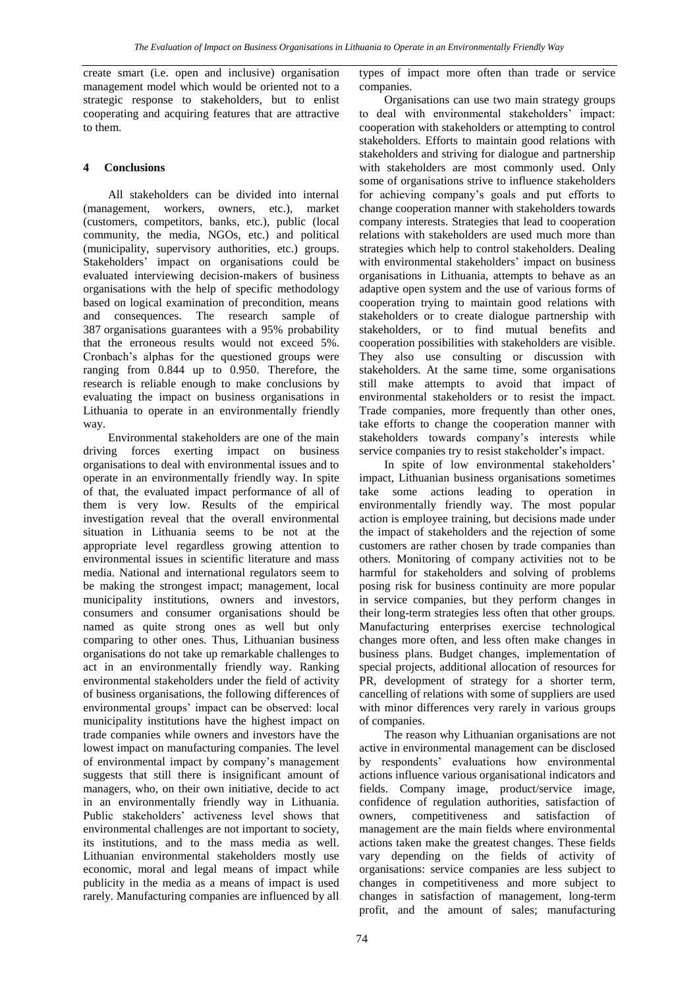create smart (i.e. open and inclusive) organisation management model which would be oriented not to a strategic response to stakeholders, but to enlist cooperating and acquiring features that are attractive to them.

## **4 Conclusions**

All stakeholders can be divided into internal (management, workers, owners, etc.), market (customers, competitors, banks, etc.), public (local community, the media, NGOs, etc.) and political (municipality, supervisory authorities, etc.) groups. Stakeholders' impact on organisations could be evaluated interviewing decision-makers of business organisations with the help of specific methodology based on logical examination of precondition, means and consequences. The research sample of 387 organisations guarantees with a 95% probability that the erroneous results would not exceed 5%. Cronbach's alphas for the questioned groups were ranging from 0.844 up to 0.950. Therefore, the research is reliable enough to make conclusions by evaluating the impact on business organisations in Lithuania to operate in an environmentally friendly way.

Environmental stakeholders are one of the main driving forces exerting impact on business organisations to deal with environmental issues and to operate in an environmentally friendly way. In spite of that, the evaluated impact performance of all of them is very low. Results of the empirical investigation reveal that the overall environmental situation in Lithuania seems to be not at the appropriate level regardless growing attention to environmental issues in scientific literature and mass media. National and international regulators seem to be making the strongest impact; management, local municipality institutions, owners and investors, consumers and consumer organisations should be named as quite strong ones as well but only comparing to other ones. Thus, Lithuanian business organisations do not take up remarkable challenges to act in an environmentally friendly way. Ranking environmental stakeholders under the field of activity of business organisations, the following differences of environmental groups' impact can be observed: local municipality institutions have the highest impact on trade companies while owners and investors have the lowest impact on manufacturing companies. The level of environmental impact by company's management suggests that still there is insignificant amount of managers, who, on their own initiative, decide to act in an environmentally friendly way in Lithuania. Public stakeholders' activeness level shows that environmental challenges are not important to society, its institutions, and to the mass media as well. Lithuanian environmental stakeholders mostly use economic, moral and legal means of impact while publicity in the media as a means of impact is used rarely. Manufacturing companies are influenced by all

types of impact more often than trade or service companies.

Organisations can use two main strategy groups to deal with environmental stakeholders' impact: cooperation with stakeholders or attempting to control stakeholders. Efforts to maintain good relations with stakeholders and striving for dialogue and partnership with stakeholders are most commonly used. Only some of organisations strive to influence stakeholders for achieving company's goals and put efforts to change cooperation manner with stakeholders towards company interests. Strategies that lead to cooperation relations with stakeholders are used much more than strategies which help to control stakeholders. Dealing with environmental stakeholders' impact on business organisations in Lithuania, attempts to behave as an adaptive open system and the use of various forms of cooperation trying to maintain good relations with stakeholders or to create dialogue partnership with stakeholders, or to find mutual benefits and cooperation possibilities with stakeholders are visible. They also use consulting or discussion with stakeholders. At the same time, some organisations still make attempts to avoid that impact of environmental stakeholders or to resist the impact. Trade companies, more frequently than other ones, take efforts to change the cooperation manner with stakeholders towards company's interests while service companies try to resist stakeholder's impact.

In spite of low environmental stakeholders' impact, Lithuanian business organisations sometimes take some actions leading to operation in environmentally friendly way. The most popular action is employee training, but decisions made under the impact of stakeholders and the rejection of some customers are rather chosen by trade companies than others. Monitoring of company activities not to be harmful for stakeholders and solving of problems posing risk for business continuity are more popular in service companies, but they perform changes in their long-term strategies less often that other groups. Manufacturing enterprises exercise technological changes more often, and less often make changes in business plans. Budget changes, implementation of special projects, additional allocation of resources for PR, development of strategy for a shorter term, cancelling of relations with some of suppliers are used with minor differences very rarely in various groups of companies.

The reason why Lithuanian organisations are not active in environmental management can be disclosed by respondents' evaluations how environmental actions influence various organisational indicators and fields. Company image, product/service image, confidence of regulation authorities, satisfaction of owners, competitiveness and satisfaction of management are the main fields where environmental actions taken make the greatest changes. These fields vary depending on the fields of activity of organisations: service companies are less subject to changes in competitiveness and more subject to changes in satisfaction of management, long-term profit, and the amount of sales; manufacturing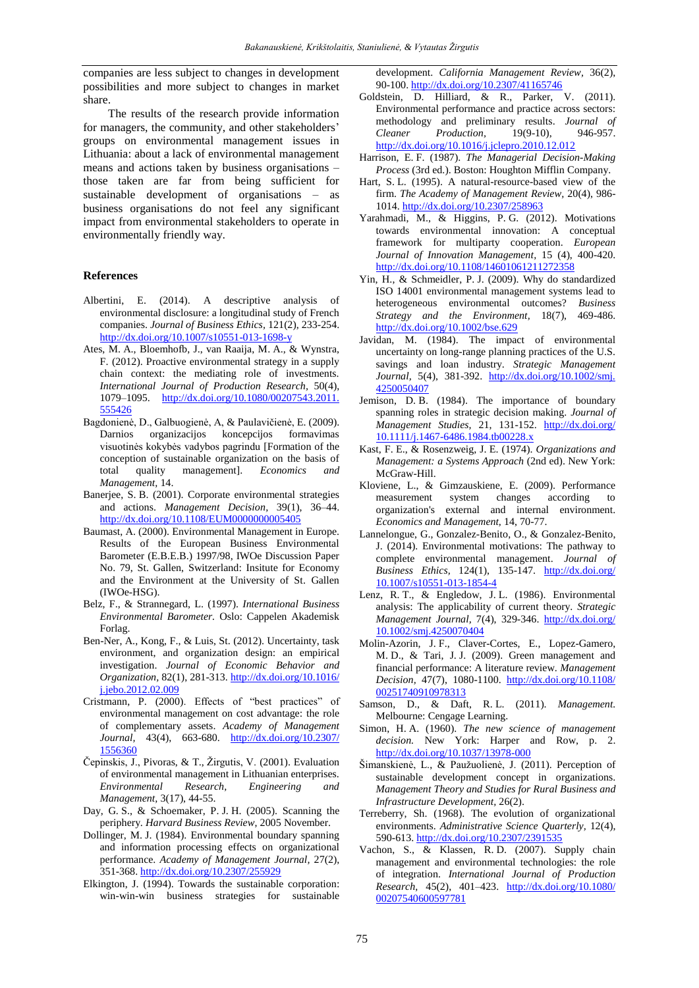companies are less subject to changes in development possibilities and more subject to changes in market share.

The results of the research provide information for managers, the community, and other stakeholders' groups on environmental management issues in Lithuania: about a lack of environmental management means and actions taken by business organisations – those taken are far from being sufficient for sustainable development of organisations – as business organisations do not feel any significant impact from environmental stakeholders to operate in environmentally friendly way.

### **References**

- Albertini, E. (2014). A descriptive analysis of environmental disclosure: a longitudinal study of French companies. *Journal of Business Ethics,* 121(2), 233-254. <http://dx.doi.org/10.1007/s10551-013-1698-y>
- Ates, M. A., Bloemhofb, J., van Raaija, M. A., & Wynstra, F. (2012). Proactive environmental strategy in a supply chain context: the mediating role of investments. *International Journal of Production Research,* 50(4), 1079–1095. [http://dx.doi.org/10.1080/00207543.2011.](http://dx.doi.org/10.1080/00207543.2011.555426) [555426](http://dx.doi.org/10.1080/00207543.2011.555426)
- Bagdonienė, D., Galbuogienė, A, & Paulavičienė, E. (2009). Darnios organizacijos koncepcijos formavimas visuotinės kokybės vadybos pagrindu [Formation of the conception of sustainable organization on the basis of total quality management]. *Economics and Management,* 14.
- Banerjee, S. B. (2001). Corporate environmental strategies and actions. *Management Decision,* 39(1), 36–44. <http://dx.doi.org/10.1108/EUM0000000005405>
- Baumast, A. (2000). Environmental Management in Europe. Results of the European Business Environmental Barometer (E.B.E.B.) 1997/98, IWOe Discussion Paper No. 79, St. Gallen, Switzerland: Insitute for Economy and the Environment at the University of St. Gallen (IWOe-HSG).
- Belz, F., & Strannegard, L. (1997). *International Business Environmental Barometer.* Oslo: Cappelen Akademisk Forlag.
- Ben-Ner, A., Kong, F., & Luis, St. (2012). Uncertainty, task environment, and organization design: an empirical investigation. *Journal of Economic Behavior and Organization,* 82(1), 281-313. [http://dx.doi.org/10.1016/](http://dx.doi.org/10.1016/j.jebo.2012.02.009) [j.jebo.2012.02.009](http://dx.doi.org/10.1016/j.jebo.2012.02.009)
- Cristmann, P. (2000). Effects of "best practices" of environmental management on cost advantage: the role of complementary assets. *Academy of Management Journal,* 43(4), 663-680. [http://dx.doi.org/10.2307/](http://dx.doi.org/10.2307/1556360) [1556360](http://dx.doi.org/10.2307/1556360)
- Čepinskis, J., [Pivoras,](http://www.lvb.lt/primo_library/libweb/action/search.do;jsessionid=78F63D5CDE9AFAF32955B6D672B317B7?vl(freeText0)=Pivoras%2c+Tomas+&vl(65583562UI0)=creator&vl(113832101UI1)=all_items&vl(1UIStartWith0)=exact&fn=search&tab=default_tab&mode=Basic&vid=KTU&scp.scps=scope%3a(KTU01)%2cscope%3a(KPI01)%2cscope%3a(KTU02)%2cscope%3a(LIDA)%2cscope%3a(OCL02)%2cscope%3a(OCL01)%2cscope%3a(ETDKTU)) & T., [Žirgutis, V.](http://www.lvb.lt/primo_library/libweb/action/search.do;jsessionid=78F63D5CDE9AFAF32955B6D672B317B7?vl(freeText0)=+%c5%bdirgutis%2c+Vytautas&vl(65583562UI0)=creator&vl(113832101UI1)=all_items&vl(1UIStartWith0)=exact&fn=search&tab=default_tab&mode=Basic&vid=KTU&scp.scps=scope%3a(KTU01)%2cscope%3a(KPI01)%2cscope%3a(KTU02)%2cscope%3a(LIDA)%2cscope%3a(OCL02)%2cscope%3a(OCL01)%2cscope%3a(ETDKTU)) (2001). Evaluation of environmental management in Lithuanian enterprises. *Environmental Research, Engineering and Management,* 3(17), 44-55.
- Day, G. S., & Schoemaker, P. J. H. (2005). Scanning the periphery. *Harvard Business Review*, 2005 November.
- Dollinger, M. J. (1984). [Environmental boundary spanning](http://scholar.google.com/citations?view_op=view_citation&hl=en&user=_cdrlUUAAAAJ&citation_for_view=_cdrlUUAAAAJ:9yKSN-GCB0IC)  [and information processing effects on organizational](http://scholar.google.com/citations?view_op=view_citation&hl=en&user=_cdrlUUAAAAJ&citation_for_view=_cdrlUUAAAAJ:9yKSN-GCB0IC)  [performance.](http://scholar.google.com/citations?view_op=view_citation&hl=en&user=_cdrlUUAAAAJ&citation_for_view=_cdrlUUAAAAJ:9yKSN-GCB0IC) *Academy of Management Journal,* 27(2), 351-368. <http://dx.doi.org/10.2307/255929>
- Elkington, J. (1994). Towards the sustainable corporation: win-win-win business strategies for sustainable

development. *[California Management Review,](javascript:__doLinkPostBack()* 36(2), 90-100. <http://dx.doi.org/10.2307/41165746>

- Goldstein, D. Hilliard, & R., Parker, V. (2011). Environmental performance and practice across sectors: methodology and preliminary results. *Journal of Cleaner Production,* 19(9-10), 946-957. <http://dx.doi.org/10.1016/j.jclepro.2010.12.012>
- Harrison, E. F. (1987). *The Managerial Decision-Making Process* (3rd ed.). Boston: Houghton Mifflin Company.
- Hart, S. L. (1995). A natural-resource-based view of the firm. *The Academy of Management Review,* 20(4), 986- 1014. <http://dx.doi.org/10.2307/258963>
- Yarahmadi, M., & Higgins, P. G. (2012). Motivations towards environmental innovation: A conceptual framework for multiparty cooperation. *European Journal of Innovation Management,* 15 (4), 400-420. <http://dx.doi.org/10.1108/14601061211272358>
- Yin, H., & Schmeidler, P. J. (2009). Why do standardized ISO 14001 environmental management systems lead to heterogeneous environmental outcomes? *Business Strategy and the Environment,* 18(7), 469-486. <http://dx.doi.org/10.1002/bse.629>
- Javidan, M. (1984). The impact of environmental uncertainty on long-range planning practices of the U.S. savings and loan industry. *Strategic Management Journal,* 5(4), 381-392. [http://dx.doi.org/10.1002/smj.](http://dx.doi.org/10.1002/smj.4250050407) [4250050407](http://dx.doi.org/10.1002/smj.4250050407)
- Jemison, D. B. (1984). The importance of boundary spanning roles in strategic decision making. *Journal of Management Studies,* 21, 131-152. [http://dx.doi.org/](http://dx.doi.org/10.1111/j.1467-6486.1984.tb00228.x) [10.1111/j.1467-6486.1984.tb00228.x](http://dx.doi.org/10.1111/j.1467-6486.1984.tb00228.x)
- Kast, F. E., & Rosenzweig, J. E. (1974). *Organizations and Management: a Systems Approach* (2nd ed). New York: McGraw-Hill.
- Kloviene, L., & Gimzauskiene, E. (2009). Performance measurement system changes according to organization's external and internal environment. *Economics and Management,* 14, 70-77.
- Lannelongue, G., Gonzalez-Benito, O., & Gonzalez-Benito, J. (2014). Environmental motivations: The pathway to complete environmental management. *[Journal of](javascript:__doLinkPostBack()  [Business Ethics,](javascript:__doLinkPostBack()* 124(1), 135-147. [http://dx.doi.org/](http://dx.doi.org/10.1007/s10551-013-1854-4) [10.1007/s10551-013-1854-4](http://dx.doi.org/10.1007/s10551-013-1854-4)
- Lenz, R. T., & Engledow, J. L. (1986). Environmental analysis: The applicability of current theory. *Strategic Management Journal,* 7(4), 329-346. [http://dx.doi.org/](http://dx.doi.org/10.1002/smj.4250070404) [10.1002/smj.4250070404](http://dx.doi.org/10.1002/smj.4250070404)
- Molin-Azorin, J. F., Claver-Cortes, E., Lopez-Gamero, M. D., & Tari, J. J. (2009). Green management and financial performance: A literature review. *Management Decision,* 47(7), 1080-1100. [http://dx.doi.org/10.1108/](http://dx.doi.org/10.1108/00251740910978313) [00251740910978313](http://dx.doi.org/10.1108/00251740910978313)
- Samson, D., & Daft, R. L. (2011). *Management.* Melbourne: Cengage Learning.
- Simon, H. A. (1960). *The new science of management decision.* New York: Harper and Row, p. 2. <http://dx.doi.org/10.1037/13978-000>
- [Šimanskienė, L.,](javascript:__doLinkPostBack() & [Paužuolienė, J.](javascript:__doLinkPostBack() (2011). Perception of sustainable development concept in organizations. *[Management Theory and](javascript:__doLinkPostBack() Studies for Rural Business and [Infrastructure](javascript:__doLinkPostBack() Development,* 26(2).
- Terreberry, Sh. (1968). The evolution of organizational environments. *Administrative Science Quarterly,* 12(4), 590-613. <http://dx.doi.org/10.2307/2391535>
- Vachon, S., & Klassen, R. D. (2007). Supply chain management and environmental technologies: the role of integration. *International Journal of Production Research,* 45(2), 401–423. [http://dx.doi.org/10.1080/](http://dx.doi.org/10.1080/00207540600597781) [00207540600597781](http://dx.doi.org/10.1080/00207540600597781)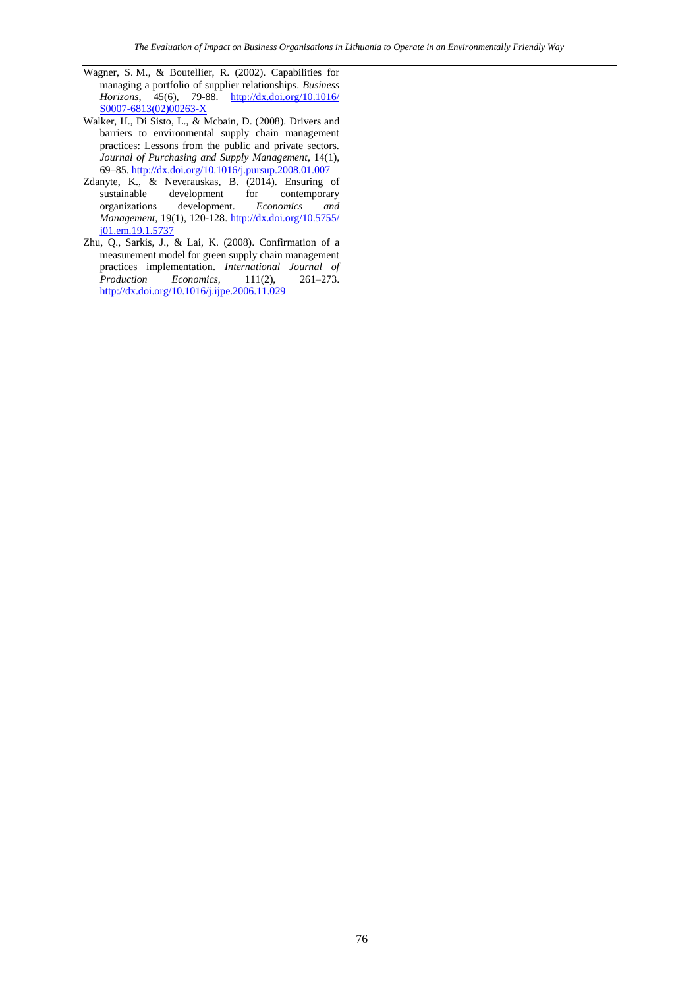- Wagner, S. M., & Boutellier, R. (2002). Capabilities for managing a portfolio of supplier relationships. *[Business](http://65.54.113.26/Journal/14270/business-horizons)  [Horizons,](http://65.54.113.26/Journal/14270/business-horizons)* 45(6), 79-88. [http://dx.doi.org/10.1016/](http://dx.doi.org/10.1016/S0007-6813(02)00263-X) [S0007-6813\(02\)00263-X](http://dx.doi.org/10.1016/S0007-6813(02)00263-X)
- Walker, H., Di Sisto, L., & Mcbain, D. (2008). Drivers and barriers to environmental supply chain management practices: Lessons from the public and private sectors. *Journal of Purchasing and Supply Management,* 14(1), 69–85. <http://dx.doi.org/10.1016/j.pursup.2008.01.007>
- Zdanyte, K., & Neverauskas, B. (2014). Ensuring of sustainable development for contemporary organizations development. *Economics and Management,* 19(1), 120-128. [http://dx.doi.org/10.5755/](http://dx.doi.org/10.5755/j01.em.19.1.5737) [j01.em.19.1.5737](http://dx.doi.org/10.5755/j01.em.19.1.5737)
- Zhu, Q., Sarkis, J., & Lai, K. (2008). Confirmation of a measurement model for green supply chain management practices implementation. *International Journal of Production Economics,* 111(2), 261–273. <http://dx.doi.org/10.1016/j.ijpe.2006.11.029>